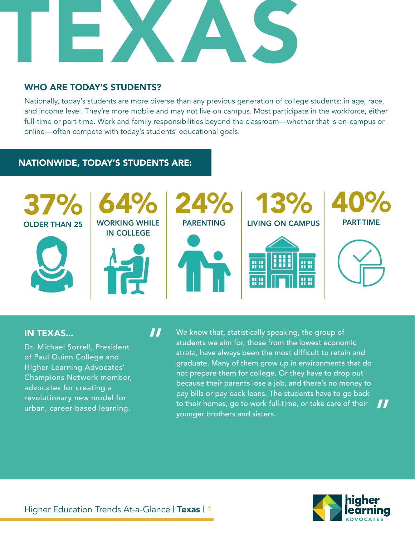

 $\boldsymbol{\boldsymbol{H}}$ 

## WHO ARE TODAY'S STUDENTS?

Nationally, today's students are more diverse than any previous generation of college students: in age, race, and income level. They're more mobile and may not live on campus. Most participate in the workforce, either full-time or part-time. Work and family responsibilities beyond the classroom—whether that is on-campus or online—often compete with today's students' educational goals.

## NATIONWIDE, TODAY'S STUDENTS ARE:



#### IN TEXAS...

Dr. Michael Sorrell, President of Paul Quinn College and Higher Learning Advocates' Champions Network member, advocates for creating a revolutionary new model for urban, career-based learning.

We know that, statistically speaking, the group of students we aim for, those from the lowest economic strata, have always been the most difficult to retain and graduate. Many of them grow up in environments that do not prepare them for college. Or they have to drop out because their parents lose a job, and there's no money to pay bills or pay back loans. The students have to go back to their homes, go to work full-time, or take care of their younger brothers and sisters.



"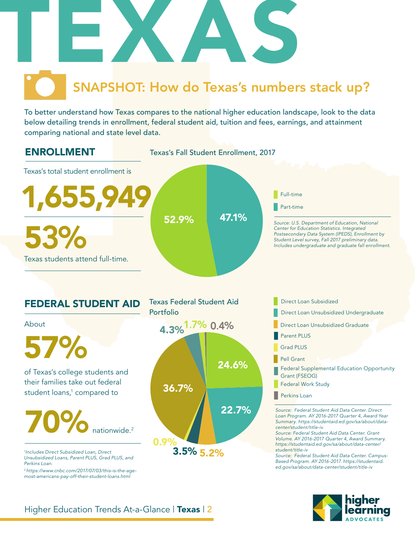

To better understand how Texas compares to the national higher education landscape, look to the data below detailing trends in enrollment, federal student aid, tuition and fees, earnings, and attainment comparing national and state level data.

## ENROLLMENT

Texas's Fall Student Enrollment, 2017



**Perkins Loan** 

*Source: Federal Student Aid Data Center. Direct Loan Program. AY 2016-2017 Quarter 4, Award Year Summary. https://studentaid.ed.gov/sa/about/datacenter/student/title-iv*

*Source: Federal Student Aid Data Center. Grant Volume. AY 2016-2017 Quarter 4, Award Summary. https://studentaid.ed.gov/sa/about/data-center/ student/title-iv*

*Source: Federal Student Aid Data Center. Campus-Based Program. AY 2016-2017. https://studentaid. ed.gov/sa/about/data-center/student/title-iv*





*1 Includes Direct Subsidized Loan, Direct Unsubsidized Loans, Parent PLUS, Grad PLUS, and Perkins Loan.* 

*2 https://www.cnbc.com/2017/07/03/this-is-the-agemost-americans-pay-off-their-student-loans.html*



3.5% 5.2%

Higher Education Trends At-a-Glance | Texas | 2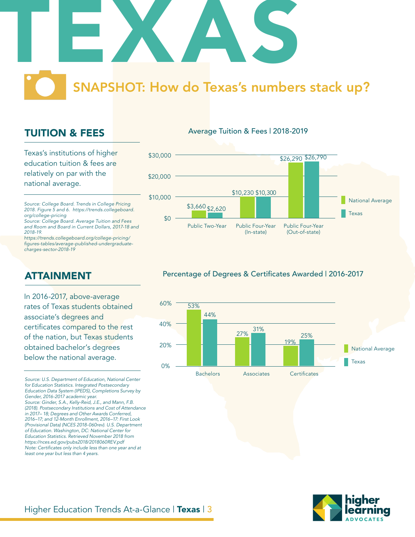

## TUITION & FEES

Texas's institutions of higher education tuition & fees are relatively on par with the national average.

*Source: College Board. Trends in College Pricing 2018. Figure 5 and 6. https://trends.collegeboard. org/college-pricing*

*Source: College Board. Average Tuition and Fees and Room and Board in Current Dollars, 2017-18 and 2018-19.*

*https://trends.collegeboard.org/college-pricing/* figures-tables/average-published-undergraduate*charges-sector-2018-19*

## ATTAINMENT

In 2016-2017, above-average rates of Texas students obtained associate's degrees and certificates compared to the rest of the nation, but Texas students obtained bachelor's degrees below the national average.

*Source: U.S. Department of Education, National Center for Education Statistics. Integrated Postsecondary Education Data System (IPEDS), Completions Survey by Gender, 2016-2017 academic year. Source: Ginder, S.A., Kelly-Reid, J.E., and Mann, F.B. (2018). Postsecondary Institutions and Cost of Attendance in 2017– 18; Degrees and Other Awards Conferred, 2016–17; and 12-Month Enrollment, 2016–17: First Look (Provisional Data) (NCES 2018-060rev). U.S. Department of Education. Washington, DC: National Center for Education Statistics. Retrieved November 2018 from* 

*https://nces.ed.gov/pubs2018/2018060REV.pdf* Note: Certificates only include less than one year and at *least one year but less than 4 years.* 

#### Average Tuition & Fees | 2018-2019



## Percentage of Degrees & Certificates Awarded | 2016-2017



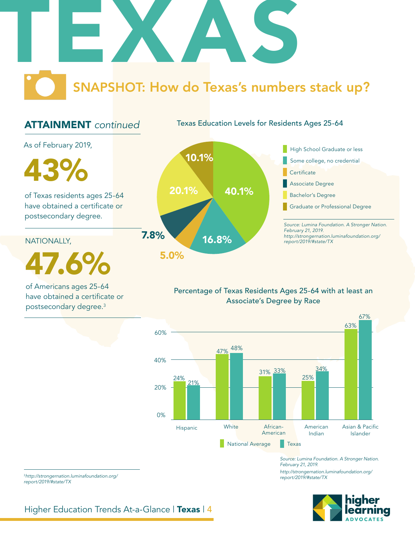

## ATTAINMENT *continued*

Texas Education Levels for Residents Ages 25-64

As of February 2019,

of Texas residents ages 25-64 have obtained a certificate or postsecondary degree.

NATIONALLY,

47.6%

of Americans ages 25-64 have obtained a certificate or postsecondary degree.3



## Percentage of Texas Residents Ages 25-64 with at least an Associate's Degree by Race



*Source: Lumina Foundation. A Stronger Nation. February 21, 2019. http://strongernation.luminafoundation.org/ report/2019/#state/TX*



<sup>3</sup>*http://strongernation.luminafoundation.org/ report/2019/#state/TX*

Higher Education Trends At-a-Glance | Texas | 4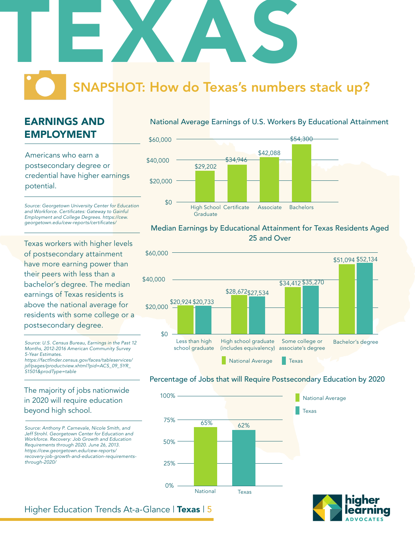

## EARNINGS AND EMPLOYMENT

Americans who earn a postsecondary degree or credential have higher earnings potential.

*Source: Georgetown University Center for Education*  and Workforce. Certificates: Gateway to Gainful *Employment and College Degrees. https://cew.* georgetown.edu/cew-reports/certificates/

Texas workers with higher levels of postsecondary attainment have more earning power than their peers with less than a bachelor's degree. The median earnings of Texas residents is above the national average for residents with some college or a postsecondary degree.

*Source: U.S. Census Bureau, Earnings in the Past 12 Months, 2012-2016 American Community Survey 5-Year Estimates.* https://factfinder.census.gov/faces/tableservices/ *jsf/pages/productview.xhtml?pid=ACS\_09\_5YR\_*

*S1501&prodType=table*

## The majority of jobs nationwide in 2020 will require education beyond high school.

*Source: Anthony P. Carnevale, Nicole Smith, and Jeff Strohl. Georgetown Center for Education and Workforce. Recovery: Job Growth and Education Requirements through 2020. June 26, 2013. https://cew.georgetown.edu/cew-reports/ recovery-job-growth-and-education-requirementsthrough-2020/*

#### National Average Earnings of U.S. Workers By Educational Attainment



#### Median Earnings by Educational Attainment for Texas Residents Aged 25 and Over



#### Percentage of Jobs that will Require Postsecondary Education by 2020





## Higher Education Trends At-a-Glance | Texas | 5